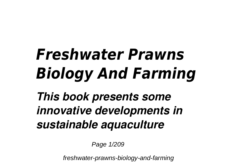## *Freshwater Prawns Biology And Farming*

*This book presents some innovative developments in sustainable aquaculture*

Page 1/209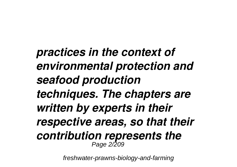*practices in the context of environmental protection and seafood production techniques. The chapters are written by experts in their respective areas, so that their contribution represents the* Page 2/209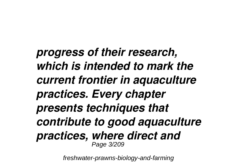*progress of their research, which is intended to mark the current frontier in aquaculture practices. Every chapter presents techniques that contribute to good aquaculture practices, where direct and* Page 3/209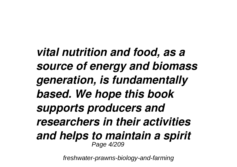*vital nutrition and food, as a source of energy and biomass generation, is fundamentally based. We hope this book supports producers and researchers in their activities and helps to maintain a spirit* Page 4/209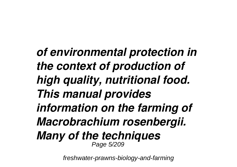*of environmental protection in the context of production of high quality, nutritional food. This manual provides information on the farming of Macrobrachium rosenbergii. Many of the techniques* Page 5/209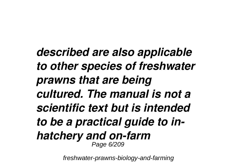*described are also applicable to other species of freshwater prawns that are being cultured. The manual is not a scientific text but is intended to be a practical guide to inhatchery and on-farm*<br>*Page 6/209*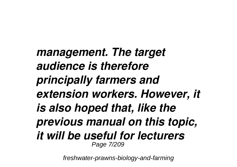*management. The target audience is therefore principally farmers and extension workers. However, it is also hoped that, like the previous manual on this topic, it will be useful for lecturers* Page 7/209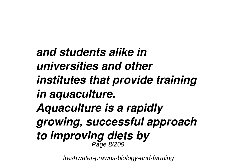*and students alike in universities and other institutes that provide training in aquaculture. Aquaculture is a rapidly growing, successful approach to improving diets by* Page 8/209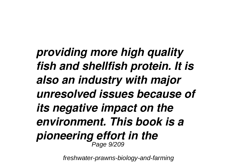*providing more high quality fish and shellfish protein. It is also an industry with major unresolved issues because of its negative impact on the environment. This book is a pioneering effort in the* Page 9/209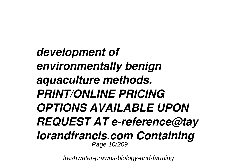*development of environmentally benign aquaculture methods. PRINT/ONLINE PRICING OPTIONS AVAILABLE UPON REQUEST AT e-reference@tay lorandfrancis.com Containing* Page 10/209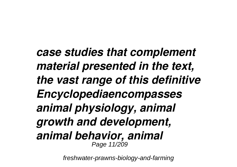*case studies that complement material presented in the text, the vast range of this definitive Encyclopediaencompasses animal physiology, animal growth and development, animal behavior, animal* Page 11/209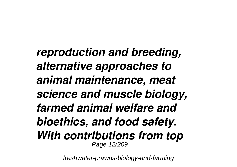*reproduction and breeding, alternative approaches to animal maintenance, meat science and muscle biology, farmed animal welfare and bioethics, and food safety. With contributions from top* Page 12/209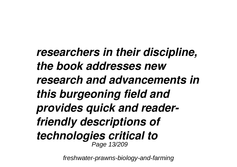*researchers in their discipline, the book addresses new research and advancements in this burgeoning field and provides quick and readerfriendly descriptions of technologies critical to* Page 13/209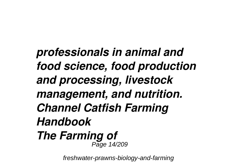*professionals in animal and food science, food production and processing, livestock management, and nutrition. Channel Catfish Farming Handbook The Farming of* Page 14/209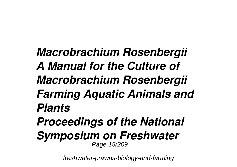*Macrobrachium Rosenbergii A Manual for the Culture of Macrobrachium Rosenbergii Farming Aquatic Animals and Plants Proceedings of the National Symposium on Freshwater* Page 15/209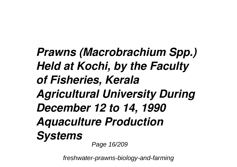*Prawns (Macrobrachium Spp.) Held at Kochi, by the Faculty of Fisheries, Kerala Agricultural University During December 12 to 14, 1990 Aquaculture Production Systems* Page 16/209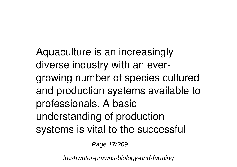Aquaculture is an increasingly diverse industry with an evergrowing number of species cultured and production systems available to professionals. A basic understanding of production systems is vital to the successful

Page 17/209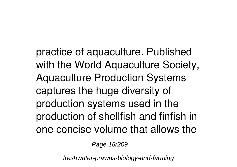practice of aquaculture. Published with the World Aquaculture Society, Aquaculture Production Systems captures the huge diversity of production systems used in the production of shellfish and finfish in one concise volume that allows the

Page 18/209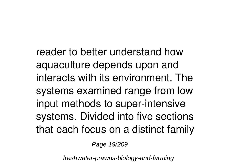reader to better understand how aquaculture depends upon and interacts with its environment. The systems examined range from low input methods to super-intensive systems. Divided into five sections that each focus on a distinct family

Page 19/209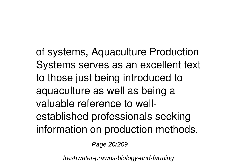of systems, Aquaculture Production Systems serves as an excellent text to those just being introduced to aquaculture as well as being a valuable reference to wellestablished professionals seeking information on production methods.

Page 20/209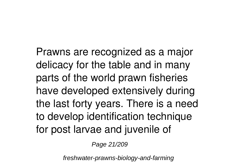Prawns are recognized as a major delicacy for the table and in many parts of the world prawn fisheries have developed extensively during the last forty years. There is a need to develop identification technique for post larvae and juvenile of

Page 21/209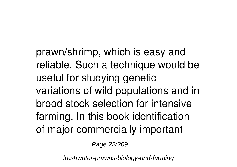prawn/shrimp, which is easy and reliable. Such a technique would be useful for studying genetic variations of wild populations and in brood stock selection for intensive farming. In this book identification of major commercially important

Page 22/209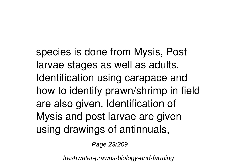species is done from Mysis, Post larvae stages as well as adults. Identification using carapace and how to identify prawn/shrimp in field are also given. Identification of Mysis and post larvae are given using drawings of antinnuals,

Page 23/209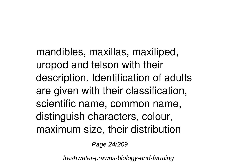mandibles, maxillas, maxiliped, uropod and telson with their description. Identification of adults are given with their classification, scientific name, common name, distinguish characters, colour, maximum size, their distribution

Page 24/209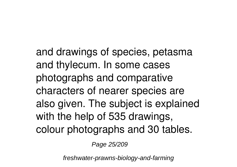and drawings of species, petasma and thylecum. In some cases photographs and comparative characters of nearer species are also given. The subject is explained with the help of 535 drawings, colour photographs and 30 tables.

Page 25/209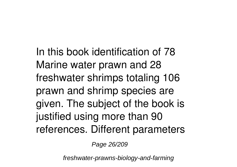In this book identification of 78 Marine water prawn and 28 freshwater shrimps totaling 106 prawn and shrimp species are given. The subject of the book is justified using more than 90 references. Different parameters

Page 26/209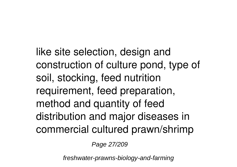like site selection, design and construction of culture pond, type of soil, stocking, feed nutrition requirement, feed preparation, method and quantity of feed distribution and major diseases in commercial cultured prawn/shrimp

Page 27/209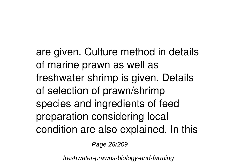are given. Culture method in details of marine prawn as well as freshwater shrimp is given. Details of selection of prawn/shrimp species and ingredients of feed preparation considering local condition are also explained. In this

Page 28/209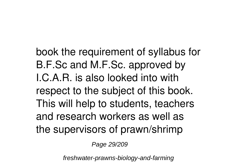book the requirement of syllabus for B.F.Sc and M.F.Sc. approved by I.C.A.R. is also looked into with respect to the subject of this book. This will help to students, teachers and research workers as well as the supervisors of prawn/shrimp

Page 29/209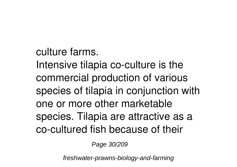culture farms. Intensive tilapia co-culture is the commercial production of various species of tilapia in conjunction with one or more other marketable species. Tilapia are attractive as a co-cultured fish because of their

Page 30/209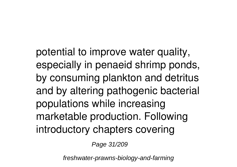potential to improve water quality, especially in penaeid shrimp ponds, by consuming plankton and detritus and by altering pathogenic bacterial populations while increasing marketable production. Following introductory chapters covering

Page 31/209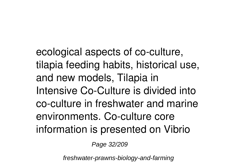ecological aspects of co-culture, tilapia feeding habits, historical use, and new models, Tilapia in Intensive Co-Culture is divided into co-culture in freshwater and marine environments. Co-culture core information is presented on Vibrio

Page 32/209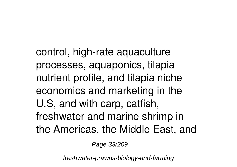control, high-rate aquaculture processes, aquaponics, tilapia nutrient profile, and tilapia niche economics and marketing in the U.S, and with carp, catfish, freshwater and marine shrimp in the Americas, the Middle East, and

Page 33/209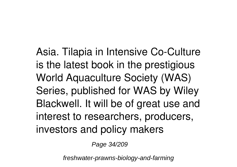Asia. Tilapia in Intensive Co-Culture is the latest book in the prestigious World Aquaculture Society (WAS) Series, published for WAS by Wiley Blackwell. It will be of great use and interest to researchers, producers, investors and policy makers

Page 34/209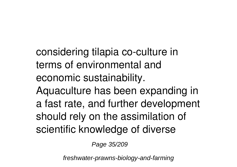considering tilapia co-culture in terms of environmental and economic sustainability.

Aquaculture has been expanding in a fast rate, and further development should rely on the assimilation of scientific knowledge of diverse

Page 35/209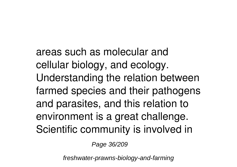areas such as molecular and cellular biology, and ecology. Understanding the relation between farmed species and their pathogens and parasites, and this relation to environment is a great challenge. Scientific community is involved in

Page 36/209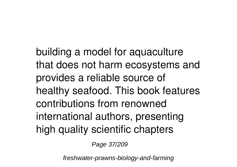building a model for aquaculture that does not harm ecosystems and provides a reliable source of healthy seafood. This book features contributions from renowned international authors, presenting high quality scientific chapters

Page 37/209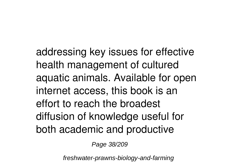addressing key issues for effective health management of cultured aquatic animals. Available for open internet access, this book is an effort to reach the broadest diffusion of knowledge useful for both academic and productive

Page 38/209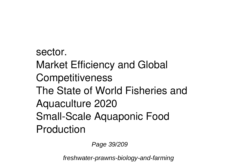sector. Market Efficiency and Global **Competitiveness** The State of World Fisheries and Aquaculture 2020 Small-Scale Aquaponic Food Production

Page 39/209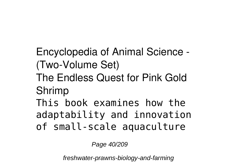Encyclopedia of Animal Science - (Two-Volume Set) The Endless Quest for Pink Gold Shrimp This book examines how the adaptability and innovation

of small-scale aquaculture

Page 40/209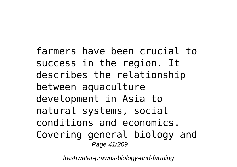farmers have been crucial to success in the region. It describes the relationship between aquaculture development in Asia to natural systems, social conditions and economics. Covering general biology and Page 41/209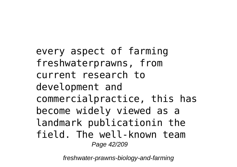every aspect of farming freshwaterprawns, from current research to development and commercialpractice, this has become widely viewed as a landmark publicationin the field. The well-known team Page 42/209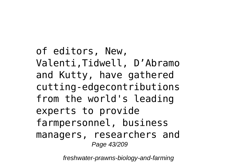of editors, New, Valenti,Tidwell, D'Abramo and Kutty, have gathered cutting-edgecontributions from the world's leading experts to provide farmpersonnel, business managers, researchers and Page 43/209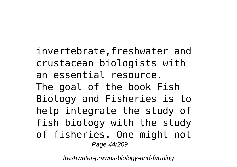invertebrate,freshwater and crustacean biologists with an essential resource. The goal of the book Fish Biology and Fisheries is to help integrate the study of fish biology with the study of fisheries. One might not Page 44/209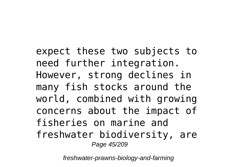expect these two subjects to need further integration. However, strong declines in many fish stocks around the world, combined with growing concerns about the impact of fisheries on marine and freshwater biodiversity, are Page 45/209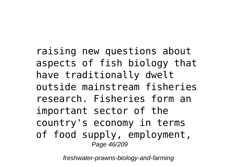raising new questions about aspects of fish biology that have traditionally dwelt outside mainstream fisheries research. Fisheries form an important sector of the country's economy in terms of food supply, employment, Page 46/209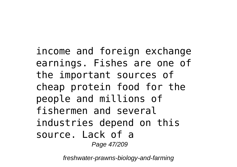income and foreign exchange earnings. Fishes are one of the important sources of cheap protein food for the people and millions of fishermen and several industries depend on this source. Lack of a Page 47/209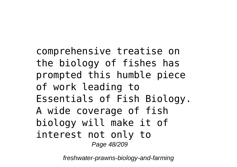comprehensive treatise on the biology of fishes has prompted this humble piece of work leading to Essentials of Fish Biology. A wide coverage of fish biology will make it of interest not only to Page 48/209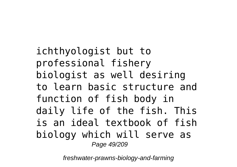ichthyologist but to professional fishery biologist as well desiring to learn basic structure and function of fish body in daily life of the fish. This is an ideal textbook of fish biology which will serve as Page 49/209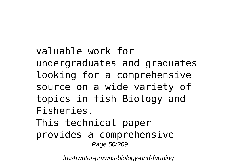valuable work for undergraduates and graduates looking for a comprehensive source on a wide variety of topics in fish Biology and Fisheries. This technical paper provides a comprehensive Page 50/209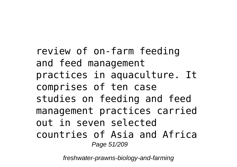review of on-farm feeding and feed management practices in aquaculture. It comprises of ten case studies on feeding and feed management practices carried out in seven selected countries of Asia and Africa Page 51/209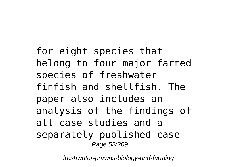for eight species that belong to four major farmed species of freshwater finfish and shellfish. The paper also includes an analysis of the findings of all case studies and a separately published case Page 52/209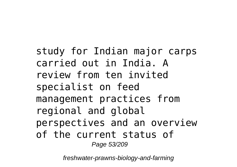study for Indian major carps carried out in India. A review from ten invited specialist on feed management practices from regional and global perspectives and an overview of the current status of Page 53/209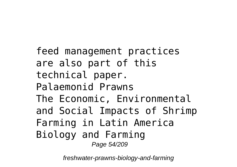feed management practices are also part of this technical paper. Palaemonid Prawns The Economic, Environmental and Social Impacts of Shrimp Farming in Latin America Biology and Farming Page 54/209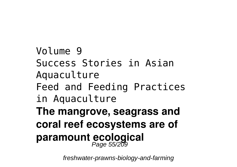Volume 9 Success Stories in Asian Aquaculture Feed and Feeding Practices in Aquaculture **The mangrove, seagrass and coral reef ecosystems are of** paramount ecological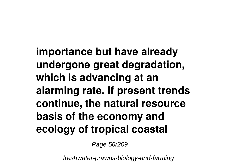**importance but have already undergone great degradation, which is advancing at an alarming rate. If present trends continue, the natural resource basis of the economy and ecology of tropical coastal**

Page 56/209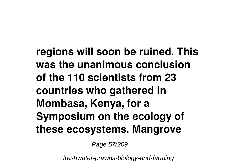**regions will soon be ruined. This was the unanimous conclusion of the 110 scientists from 23 countries who gathered in Mombasa, Kenya, for a Symposium on the ecology of these ecosystems. Mangrove**

Page 57/209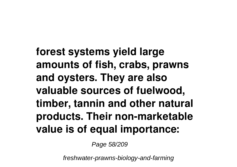**forest systems yield large amounts of fish, crabs, prawns and oysters. They are also valuable sources of fuelwood, timber, tannin and other natural products. Their non-marketable value is of equal importance:**

Page 58/209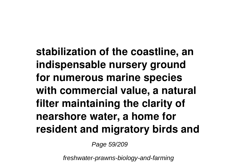**stabilization of the coastline, an indispensable nursery ground for numerous marine species with commercial value, a natural filter maintaining the clarity of nearshore water, a home for resident and migratory birds and**

Page 59/209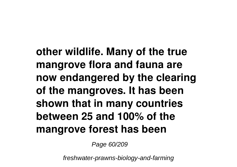**other wildlife. Many of the true mangrove flora and fauna are now endangered by the clearing of the mangroves. It has been shown that in many countries between 25 and 100% of the mangrove forest has been**

Page 60/209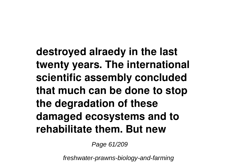**destroyed alraedy in the last twenty years. The international scientific assembly concluded that much can be done to stop the degradation of these damaged ecosystems and to rehabilitate them. But new**

Page 61/209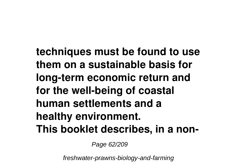**techniques must be found to use them on a sustainable basis for long-term economic return and for the well-being of coastal human settlements and a healthy environment. This booklet describes, in a non-**

Page 62/209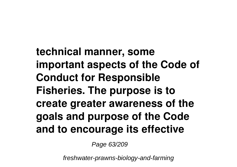**technical manner, some important aspects of the Code of Conduct for Responsible Fisheries. The purpose is to create greater awareness of the goals and purpose of the Code and to encourage its effective**

Page 63/209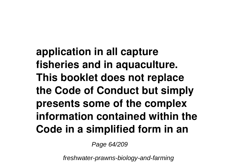**application in all capture fisheries and in aquaculture. This booklet does not replace the Code of Conduct but simply presents some of the complex information contained within the Code in a simplified form in an**

Page 64/209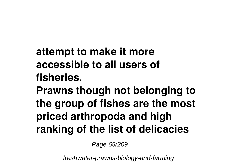**attempt to make it more accessible to all users of fisheries.**

**Prawns though not belonging to the group of fishes are the most priced arthropoda and high ranking of the list of delicacies**

Page 65/209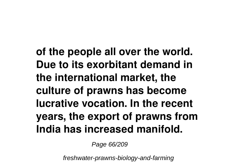**of the people all over the world. Due to its exorbitant demand in the international market, the culture of prawns has become lucrative vocation. In the recent years, the export of prawns from India has increased manifold.**

Page 66/209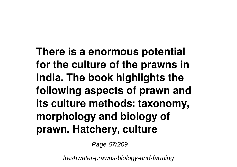**There is a enormous potential for the culture of the prawns in India. The book highlights the following aspects of prawn and its culture methods: taxonomy, morphology and biology of prawn. Hatchery, culture**

Page 67/209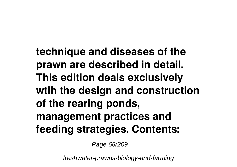**technique and diseases of the prawn are described in detail. This edition deals exclusively wtih the design and construction of the rearing ponds, management practices and feeding strategies. Contents:**

Page 68/209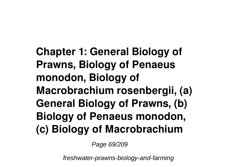**Chapter 1: General Biology of Prawns, Biology of Penaeus monodon, Biology of Macrobrachium rosenbergii, (a) General Biology of Prawns, (b) Biology of Penaeus monodon, (c) Biology of Macrobrachium**

Page 69/209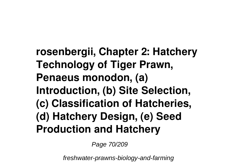**rosenbergii, Chapter 2: Hatchery Technology of Tiger Prawn, Penaeus monodon, (a) Introduction, (b) Site Selection, (c) Classification of Hatcheries, (d) Hatchery Design, (e) Seed Production and Hatchery**

Page 70/209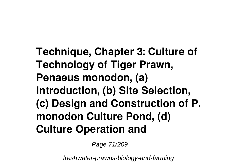**Technique, Chapter 3: Culture of Technology of Tiger Prawn, Penaeus monodon, (a) Introduction, (b) Site Selection, (c) Design and Construction of P. monodon Culture Pond, (d) Culture Operation and**

Page 71/209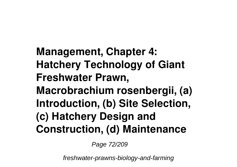**Management, Chapter 4: Hatchery Technology of Giant Freshwater Prawn, Macrobrachium rosenbergii, (a) Introduction, (b) Site Selection, (c) Hatchery Design and Construction, (d) Maintenance**

Page 72/209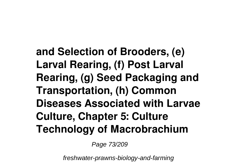**and Selection of Brooders, (e) Larval Rearing, (f) Post Larval Rearing, (g) Seed Packaging and Transportation, (h) Common Diseases Associated with Larvae Culture, Chapter 5: Culture Technology of Macrobrachium**

Page 73/209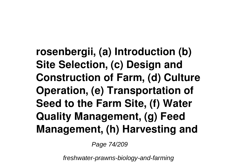**rosenbergii, (a) Introduction (b) Site Selection, (c) Design and Construction of Farm, (d) Culture Operation, (e) Transportation of Seed to the Farm Site, (f) Water Quality Management, (g) Feed Management, (h) Harvesting and**

Page 74/209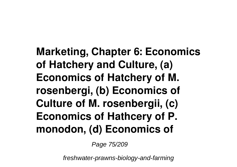**Marketing, Chapter 6: Economics of Hatchery and Culture, (a) Economics of Hatchery of M. rosenbergi, (b) Economics of Culture of M. rosenbergii, (c) Economics of Hathcery of P. monodon, (d) Economics of**

Page 75/209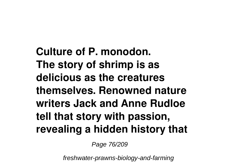**Culture of P. monodon. The story of shrimp is as delicious as the creatures themselves. Renowned nature writers Jack and Anne Rudloe tell that story with passion, revealing a hidden history that**

Page 76/209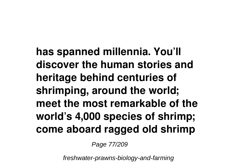**has spanned millennia. You'll discover the human stories and heritage behind centuries of shrimping, around the world; meet the most remarkable of the world's 4,000 species of shrimp; come aboard ragged old shrimp**

Page 77/209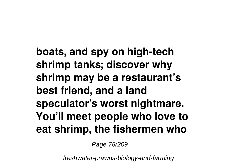**boats, and spy on high-tech shrimp tanks; discover why shrimp may be a restaurant's best friend, and a land speculator's worst nightmare. You'll meet people who love to eat shrimp, the fishermen who**

Page 78/209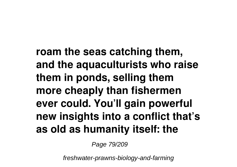**roam the seas catching them, and the aquaculturists who raise them in ponds, selling them more cheaply than fishermen ever could. You'll gain powerful new insights into a conflict that's as old as humanity itself: the**

Page 79/209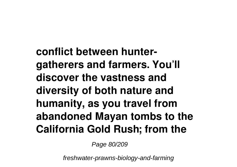**conflict between huntergatherers and farmers. You'll discover the vastness and diversity of both nature and humanity, as you travel from abandoned Mayan tombs to the California Gold Rush; from the**

Page 80/209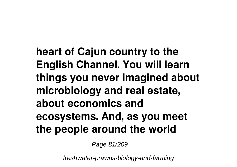**heart of Cajun country to the English Channel. You will learn things you never imagined about microbiology and real estate, about economics and ecosystems. And, as you meet the people around the world**

Page 81/209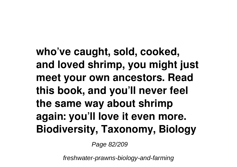**who've caught, sold, cooked, and loved shrimp, you might just meet your own ancestors. Read this book, and you'll never feel the same way about shrimp again: you'll love it even more. Biodiversity, Taxonomy, Biology**

Page 82/209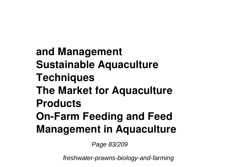**and Management Sustainable Aquaculture Techniques The Market for Aquaculture Products On-Farm Feeding and Feed Management in Aquaculture**

Page 83/209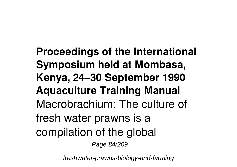**Proceedings of the International Symposium held at Mombasa, Kenya, 24–30 September 1990 Aquaculture Training Manual** Macrobrachium: The culture of fresh water prawns is a compilation of the global Page 84/209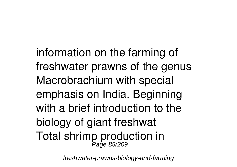information on the farming of freshwater prawns of the genus Macrobrachium with special emphasis on India. Beginning with a brief introduction to the biology of giant freshwat Total shrimp production in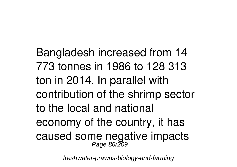Bangladesh increased from 14 773 tonnes in 1986 to 128 313 ton in 2014. In parallel with contribution of the shrimp sector to the local and national economy of the country, it has caused some negative impacts Page 86/209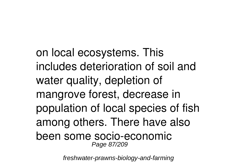on local ecosystems. This includes deterioration of soil and water quality, depletion of mangrove forest, decrease in population of local species of fish among others. There have also been some socio-economic Page 87/209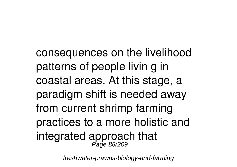consequences on the livelihood patterns of people livin g in coastal areas. At this stage, a paradigm shift is needed away from current shrimp farming practices to a more holistic and integrated approach that Page 88/209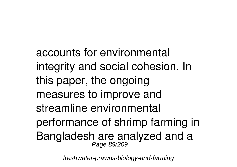accounts for environmental integrity and social cohesion. In this paper, the ongoing measures to improve and streamline environmental performance of shrimp farming in Bangladesh are analyzed and a Page 89/209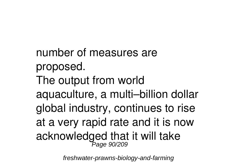number of measures are proposed. The output from world aquaculture, a multi–billion dollar global industry, continues to rise at a very rapid rate and it is now acknowledged that it will take Page 90/209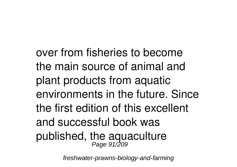over from fisheries to become the main source of animal and plant products from aquatic environments in the future. Since the first edition of this excellent and successful book was published, the aquaculture Page 91/209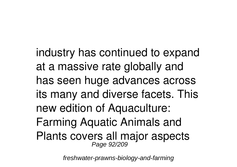industry has continued to expand at a massive rate globally and has seen huge advances across its many and diverse facets. This new edition of Aquaculture: Farming Aquatic Animals and Plants covers all major aspects Page 92/209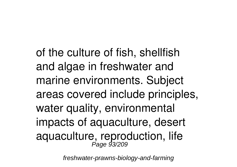of the culture of fish, shellfish and algae in freshwater and marine environments. Subject areas covered include principles, water quality, environmental impacts of aquaculture, desert aquaculture, reproduction, life Page 93/209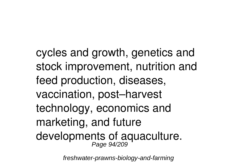cycles and growth, genetics and stock improvement, nutrition and feed production, diseases, vaccination, post–harvest technology, economics and marketing, and future developments of aquaculture. Page 94/209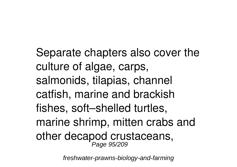Separate chapters also cover the culture of algae, carps, salmonids, tilapias, channel catfish, marine and brackish fishes, soft–shelled turtles, marine shrimp, mitten crabs and other decapod crustaceans, Page 95/209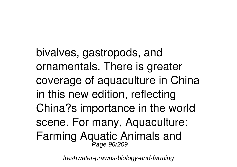bivalves, gastropods, and ornamentals. There is greater coverage of aquaculture in China in this new edition, reflecting China?s importance in the world scene. For many, Aquaculture: Farming Aquatic Animals and Page 96/209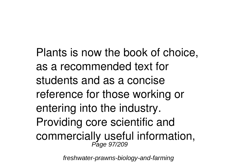Plants is now the book of choice, as a recommended text for students and as a concise reference for those working or entering into the industry. Providing core scientific and commercially useful information, Page 97/209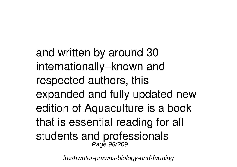and written by around 30 internationally–known and respected authors, this expanded and fully updated new edition of Aquaculture is a book that is essential reading for all students and professionals Page 98/209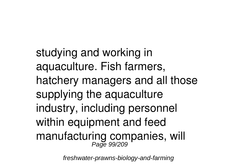studying and working in aquaculture. Fish farmers, hatchery managers and all those supplying the aquaculture industry, including personnel within equipment and feed manufacturing companies, will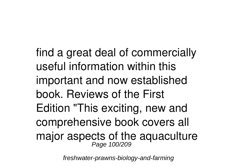find a great deal of commercially useful information within this important and now established book. Reviews of the First Edition "This exciting, new and comprehensive book covers all major aspects of the aquaculture Page 100/209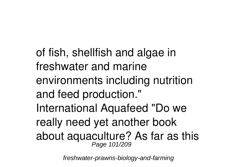of fish, shellfish and algae in freshwater and marine environments including nutrition and feed production." International Aquafeed "Do we really need yet another book about aquaculture? As far as this Page 101/209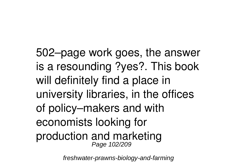502–page work goes, the answer is a resounding ?yes?. This book will definitely find a place in university libraries, in the offices of policy–makers and with economists looking for production and marketing Page 102/209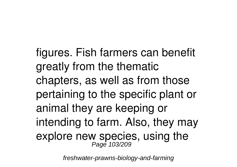figures. Fish farmers can benefit greatly from the thematic chapters, as well as from those pertaining to the specific plant or animal they are keeping or intending to farm. Also, they may explore new species, using the Page 103/209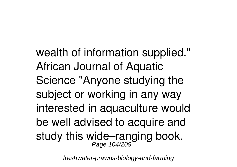wealth of information supplied." African Journal of Aquatic Science "Anyone studying the subject or working in any way interested in aquaculture would be well advised to acquire and study this wide–ranging book. Page 104/209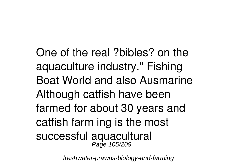One of the real ?bibles? on the aquaculture industry." Fishing Boat World and also Ausmarine Although catfish have been farmed for about 30 years and catfish farm ing is the most successful aquacultural Page 105/209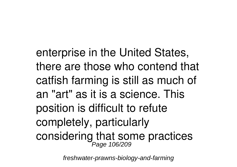enterprise in the United States, there are those who contend that catfish farming is still as much of an "art" as it is a science. This position is difficult to refute completely, particularly considering that some practices Page 106/209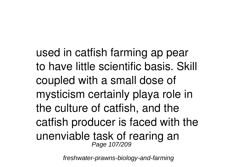used in catfish farming ap pear to have little scientific basis. Skill coupled with a small dose of mysticism certainly playa role in the culture of catfish, and the catfish producer is faced with the unenviable task of rearing an Page 107/209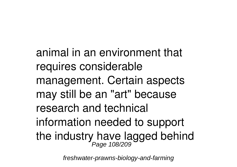animal in an environment that requires considerable management. Certain aspects may still be an "art" because research and technical information needed to support the industry have lagged behind<br>Page 108/209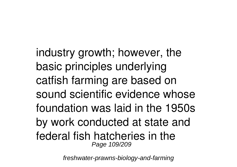industry growth; however, the basic principles underlying catfish farming are based on sound scientific evidence whose foundation was laid in the 1950s by work conducted at state and federal fish hatcheries in the Page 109/209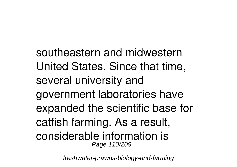southeastern and midwestern United States. Since that time, several university and government laboratories have expanded the scientific base for catfish farming. As a result, considerable information is Page 110/209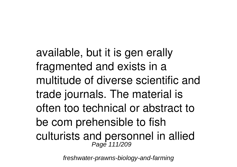available, but it is gen erally fragmented and exists in a multitude of diverse scientific and trade journals. The material is often too technical or abstract to be com prehensible to fish culturists and personnel in allied Page 111/209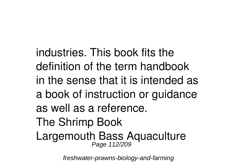industries. This book fits the definition of the term handbook in the sense that it is intended as a book of instruction or guidance as well as a reference. The Shrimp Book Largemouth Bass Aquaculture Page 112/209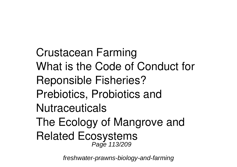Crustacean Farming What is the Code of Conduct for Reponsible Fisheries? Prebiotics, Probiotics and **Nutraceuticals** The Ecology of Mangrove and Related Ecosystems Page 113/209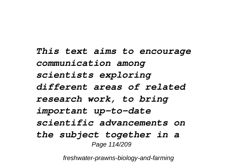*This text aims to encourage communication among scientists exploring different areas of related research work, to bring important up-to-date scientific advancements on the subject together in a* Page 114/209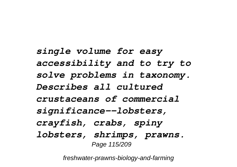*single volume for easy accessibility and to try to solve problems in taxonomy. Describes all cultured crustaceans of commercial significance--lobsters, crayfish, crabs, spiny lobsters, shrimps, prawns.* Page 115/209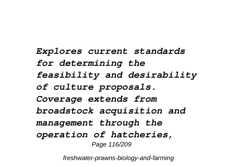*Explores current standards for determining the feasibility and desirability of culture proposals. Coverage extends from broadstock acquisition and management through the operation of hatcheries,* Page 116/209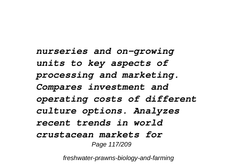*nurseries and on-growing units to key aspects of processing and marketing. Compares investment and operating costs of different culture options. Analyzes recent trends in world crustacean markets for* Page 117/209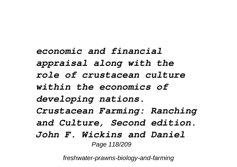*economic and financial appraisal along with the role of crustacean culture within the economics of developing nations. Crustacean Farming: Ranching and Culture, Second edition. John F. Wickins and Daniel* Page 118/209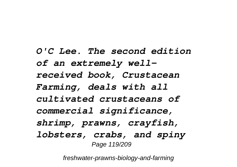*O'C Lee. The second edition of an extremely wellreceived book, Crustacean Farming, deals with all cultivated crustaceans of commercial significance, shrimp, prawns, crayfish, lobsters, crabs, and spiny* Page 119/209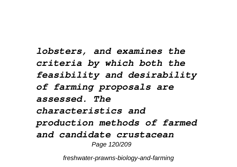*lobsters, and examines the criteria by which both the feasibility and desirability of farming proposals are assessed. The characteristics and production methods of farmed and candidate crustacean* Page 120/209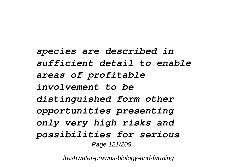*species are described in sufficient detail to enable areas of profitable involvement to be distinguished form other opportunities presenting only very high risks and possibilities for serious* Page 121/209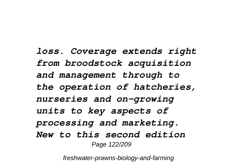*loss. Coverage extends right from broodstock acquisition and management through to the operation of hatcheries, nurseries and on-growing units to key aspects of processing and marketing. New to this second edition* Page 122/209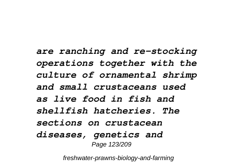*are ranching and re-stocking operations together with the culture of ornamental shrimp and small crustaceans used as live food in fish and shellfish hatcheries. The sections on crustacean diseases, genetics and* Page 123/209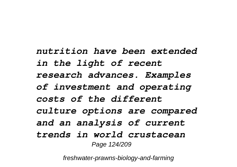*nutrition have been extended in the light of recent research advances. Examples of investment and operating costs of the different culture options are compared and an analysis of current trends in world crustacean* Page 124/209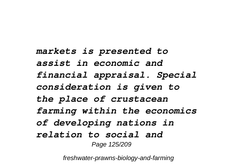*markets is presented to assist in economic and financial appraisal. Special consideration is given to the place of crustacean farming within the economics of developing nations in relation to social and* Page 125/209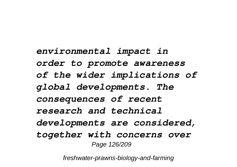*environmental impact in order to promote awareness of the wider implications of global developments. The consequences of recent research and technical developments are considered, together with concerns over* Page 126/209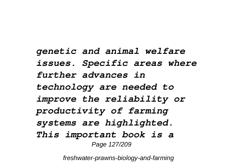*genetic and animal welfare issues. Specific areas where further advances in technology are needed to improve the reliability or productivity of farming systems are highlighted. This important book is a* Page 127/209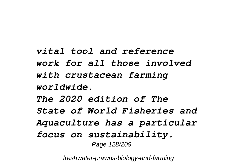*vital tool and reference work for all those involved with crustacean farming worldwide. The 2020 edition of The State of World Fisheries and Aquaculture has a particular focus on sustainability.* Page 128/209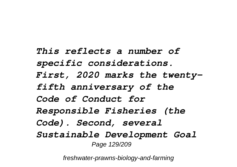*This reflects a number of specific considerations. First, 2020 marks the twentyfifth anniversary of the Code of Conduct for Responsible Fisheries (the Code). Second, several Sustainable Development Goal* Page 129/209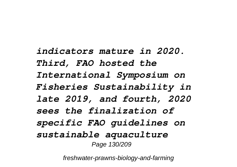*indicators mature in 2020. Third, FAO hosted the International Symposium on Fisheries Sustainability in late 2019, and fourth, 2020 sees the finalization of specific FAO guidelines on sustainable aquaculture* Page 130/209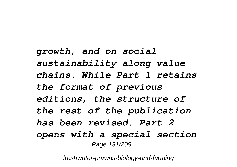*growth, and on social sustainability along value chains. While Part 1 retains the format of previous editions, the structure of the rest of the publication has been revised. Part 2 opens with a special section* Page 131/209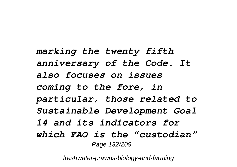*marking the twenty fifth anniversary of the Code. It also focuses on issues coming to the fore, in particular, those related to Sustainable Development Goal 14 and its indicators for which FAO is the "custodian"* Page 132/209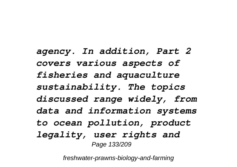*agency. In addition, Part 2 covers various aspects of fisheries and aquaculture sustainability. The topics discussed range widely, from data and information systems to ocean pollution, product legality, user rights and* Page 133/209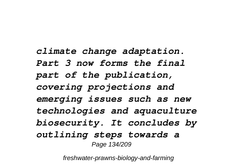*climate change adaptation. Part 3 now forms the final part of the publication, covering projections and emerging issues such as new technologies and aquaculture biosecurity. It concludes by outlining steps towards a* Page 134/209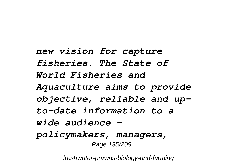*new vision for capture fisheries. The State of World Fisheries and Aquaculture aims to provide objective, reliable and upto-date information to a wide audience – policymakers, managers,* Page 135/209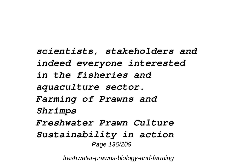*scientists, stakeholders and indeed everyone interested in the fisheries and aquaculture sector. Farming of Prawns and Shrimps Freshwater Prawn Culture Sustainability in action* Page 136/209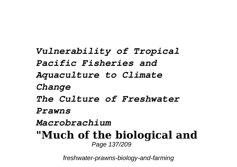*Vulnerability of Tropical Pacific Fisheries and Aquaculture to Climate Change The Culture of Freshwater Prawns Macrobrachium* **"Much of the biological and** Page 137/209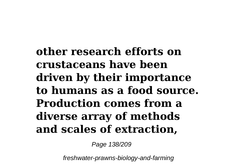**other research efforts on crustaceans have been driven by their importance to humans as a food source. Production comes from a diverse array of methods and scales of extraction,**

Page 138/209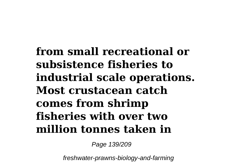**from small recreational or subsistence fisheries to industrial scale operations. Most crustacean catch comes from shrimp fisheries with over two million tonnes taken in**

Page 139/209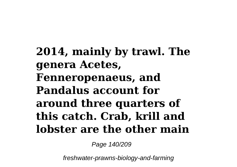**2014, mainly by trawl. The genera Acetes, Fenneropenaeus, and Pandalus account for around three quarters of this catch. Crab, krill and lobster are the other main**

Page 140/209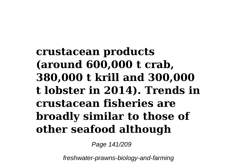**crustacean products (around 600,000 t crab, 380,000 t krill and 300,000 t lobster in 2014). Trends in crustacean fisheries are broadly similar to those of other seafood although**

Page 141/209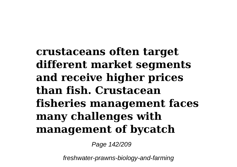**crustaceans often target different market segments and receive higher prices than fish. Crustacean fisheries management faces many challenges with management of bycatch**

Page 142/209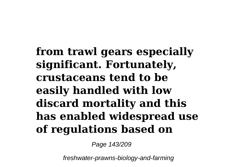**from trawl gears especially significant. Fortunately, crustaceans tend to be easily handled with low discard mortality and this has enabled widespread use of regulations based on**

Page 143/209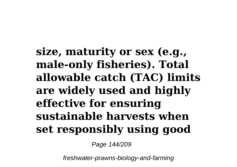**size, maturity or sex (e.g., male-only fisheries). Total allowable catch (TAC) limits are widely used and highly effective for ensuring sustainable harvests when set responsibly using good**

Page 144/209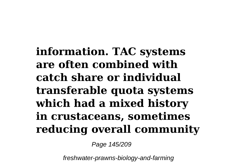**information. TAC systems are often combined with catch share or individual transferable quota systems which had a mixed history in crustaceans, sometimes reducing overall community**

Page 145/209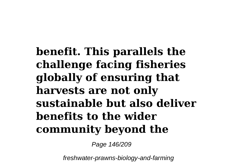**benefit. This parallels the challenge facing fisheries globally of ensuring that harvests are not only sustainable but also deliver benefits to the wider community beyond the**

Page 146/209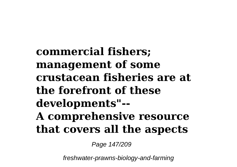**commercial fishers; management of some crustacean fisheries are at the forefront of these developments"-- A comprehensive resource that covers all the aspects**

Page 147/209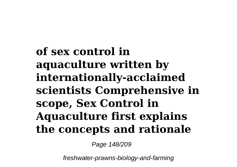**of sex control in aquaculture written by internationally-acclaimed scientists Comprehensive in scope, Sex Control in Aquaculture first explains the concepts and rationale**

Page 148/209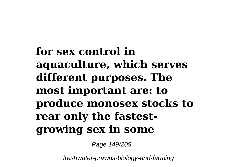**for sex control in aquaculture, which serves different purposes. The most important are: to produce monosex stocks to rear only the fastestgrowing sex in some**

Page 149/209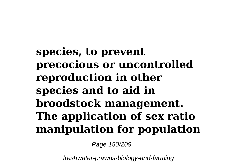## **species, to prevent precocious or uncontrolled reproduction in other species and to aid in broodstock management. The application of sex ratio manipulation for population**

Page 150/209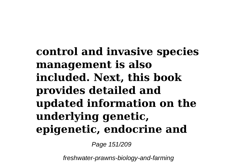**control and invasive species management is also included. Next, this book provides detailed and updated information on the underlying genetic, epigenetic, endocrine and**

Page 151/209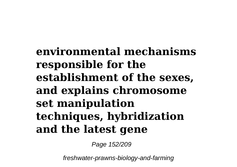**environmental mechanisms responsible for the establishment of the sexes, and explains chromosome set manipulation techniques, hybridization and the latest gene**

Page 152/209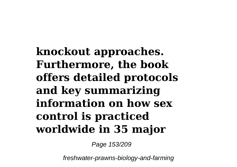**knockout approaches. Furthermore, the book offers detailed protocols and key summarizing information on how sex control is practiced worldwide in 35 major**

Page 153/209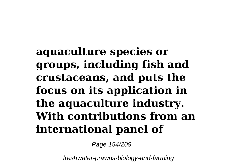**aquaculture species or groups, including fish and crustaceans, and puts the focus on its application in the aquaculture industry. With contributions from an international panel of**

Page 154/209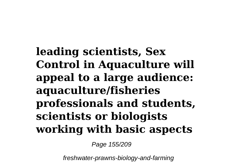**leading scientists, Sex Control in Aquaculture will appeal to a large audience: aquaculture/fisheries professionals and students, scientists or biologists working with basic aspects**

Page 155/209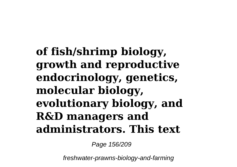**of fish/shrimp biology, growth and reproductive endocrinology, genetics, molecular biology, evolutionary biology, and R&D managers and administrators. This text**

Page 156/209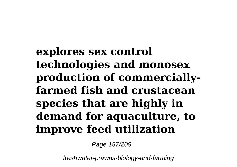**explores sex control technologies and monosex production of commerciallyfarmed fish and crustacean species that are highly in demand for aquaculture, to improve feed utilization**

Page 157/209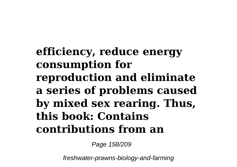### **efficiency, reduce energy consumption for reproduction and eliminate a series of problems caused by mixed sex rearing. Thus, this book: Contains contributions from an**

Page 158/209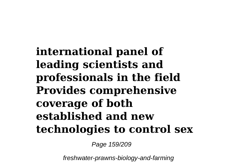**international panel of leading scientists and professionals in the field Provides comprehensive coverage of both established and new technologies to control sex**

Page 159/209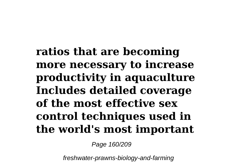**ratios that are becoming more necessary to increase productivity in aquaculture Includes detailed coverage of the most effective sex control techniques used in the world's most important**

Page 160/209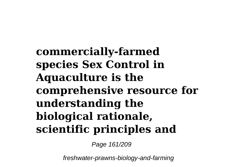**commercially-farmed species Sex Control in Aquaculture is the comprehensive resource for understanding the biological rationale, scientific principles and**

Page 161/209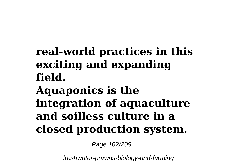## **real-world practices in this exciting and expanding field.**

## **Aquaponics is the integration of aquaculture and soilless culture in a closed production system.**

Page 162/209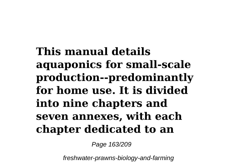**This manual details aquaponics for small-scale production--predominantly for home use. It is divided into nine chapters and seven annexes, with each chapter dedicated to an**

Page 163/209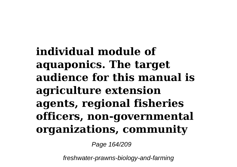**individual module of aquaponics. The target audience for this manual is agriculture extension agents, regional fisheries officers, non-governmental organizations, community**

Page 164/209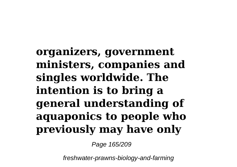**organizers, government ministers, companies and singles worldwide. The intention is to bring a general understanding of aquaponics to people who previously may have only**

Page 165/209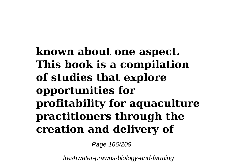### **known about one aspect. This book is a compilation of studies that explore opportunities for profitability for aquaculture practitioners through the creation and delivery of**

Page 166/209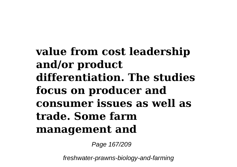**value from cost leadership and/or product differentiation. The studies focus on producer and consumer issues as well as trade. Some farm management and**

Page 167/209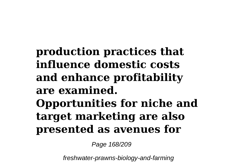**production practices that influence domestic costs and enhance profitability are examined. Opportunities for niche and target marketing are also presented as avenues for**

Page 168/209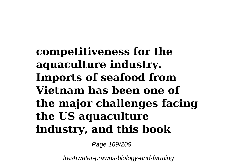**competitiveness for the aquaculture industry. Imports of seafood from Vietnam has been one of the major challenges facing the US aquaculture industry, and this book**

Page 169/209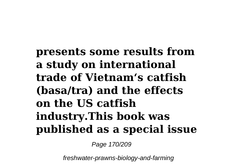**presents some results from a study on international trade of Vietnam's catfish (basa/tra) and the effects on the US catfish industry.This book was published as a special issue**

Page 170/209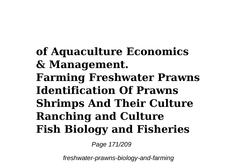**of Aquaculture Economics & Management. Farming Freshwater Prawns Identification Of Prawns Shrimps And Their Culture Ranching and Culture Fish Biology and Fisheries**

Page 171/209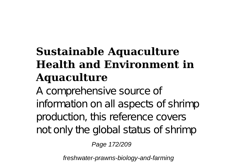# **Sustainable Aquaculture Health and Environment in Aquaculture**

A comprehensive source of information on all aspects of shrimp production, this reference covers not only the global status of shrimp

Page 172/209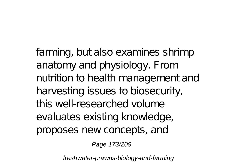farming, but also examines shrimp anatomy and physiology. From nutrition to health management and harvesting issues to biosecurity, this well-researched volume evaluates existing knowledge, proposes new concepts, and

Page 173/209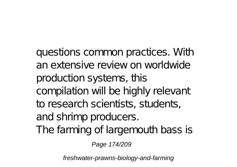questions common practices. With an extensive review on worldwide production systems, this compilation will be highly relevant to research scientists, students, and shrimp producers. The farming of largemouth bass is

Page 174/209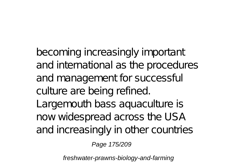becoming increasingly important and international as the procedures and management for successful culture are being refined. Largemouth bass aquaculture is now widespread across the USA and increasingly in other countries

Page 175/209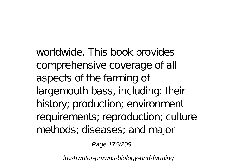worldwide. This book provides comprehensive coverage of all aspects of the farming of largemouth bass, including: their history; production; environment requirements; reproduction; culture methods; diseases; and major

Page 176/209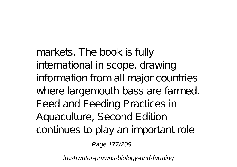markets. The book is fully international in scope, drawing information from all major countries where largemouth bass are farmed. Feed and Feeding Practices in Aquaculture, Second Edition continues to play an important role

Page 177/209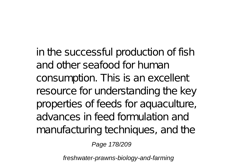in the successful production of fish and other seafood for human consumption. This is an excellent resource for understanding the key properties of feeds for aquaculture, advances in feed formulation and manufacturing techniques, and the

Page 178/209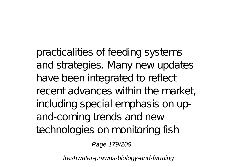practicalities of feeding systems and strategies. Many new updates have been integrated to reflect recent advances within the market, including special emphasis on upand-coming trends and new technologies on monitoring fish

Page 179/209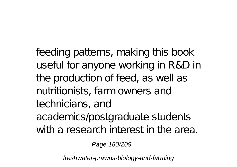feeding patterns, making this book useful for anyone working in R&D in the production of feed, as well as nutritionists, farm owners and technicians, and academics/postgraduate students with a research interest in the area.

Page 180/209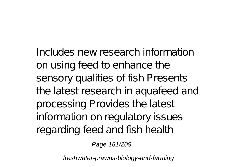Includes new research information on using feed to enhance the sensory qualities of fish Presents the latest research in aquafeed and processing Provides the latest information on regulatory issues regarding feed and fish health

Page 181/209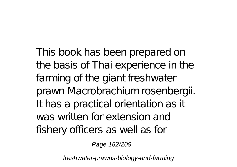This book has been prepared on the basis of Thai experience in the farming of the giant freshwater prawn Macrobrachium rosenbergii. It has a practical orientation as it was written for extension and fishery officers as well as for

Page 182/209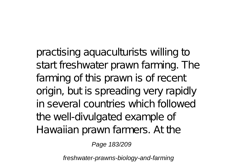practising aquaculturists willing to start freshwater prawn farming. The farming of this prawn is of recent origin, but is spreading very rapidly in several countries which followed the well-divulgated example of Hawaiian prawn farmers. At the

Page 183/209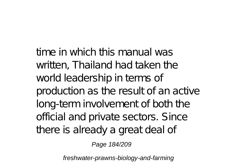time in which this manual was written, Thailand had taken the world leadership in terms of production as the result of an active long-term involvement of both the official and private sectors. Since there is already a great deal of

Page 184/209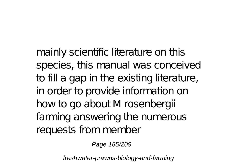mainly scientific literature on this species, this manual was conceived to fill a gap in the existing literature, in order to provide information on how to go about M rosenbergii farming answering the numerous requests from member

Page 185/209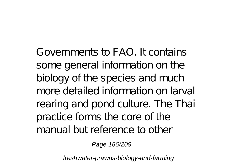Governments to FAO. It contains some general information on the biology of the species and much more detailed information on larval rearing and pond culture. The Thai practice forms the core of the manual but reference to other

Page 186/209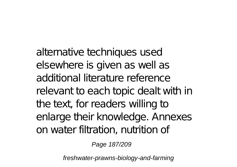alternative techniques used elsewhere is given as well as additional literature reference relevant to each topic dealt with in the text, for readers willing to enlarge their knowledge. Annexes on water filtration, nutrition of

Page 187/209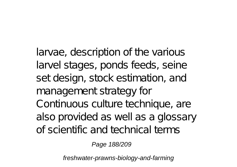larvae, description of the various larvel stages, ponds feeds, seine set design, stock estimation, and management strategy for Continuous culture technique, are also provided as well as a glossary of scientific and technical terms

Page 188/209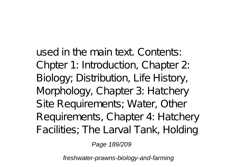used in the main text. Contents: Chpter 1: Introduction, Chapter 2: Biology; Distribution, Life History, Morphology, Chapter 3: Hatchery Site Requirements; Water, Other Requirements, Chapter 4: Hatchery Facilities; The Larval Tank, Holding

Page 189/209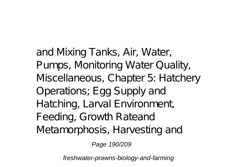and Mixing Tanks, Air, Water, Pumps, Monitoring Water Quality, Miscellaneous, Chapter 5: Hatchery Operations; Egg Supply and Hatching, Larval Environment, Feeding, Growth Rateand Metamorphosis, Harvesting and

Page 190/209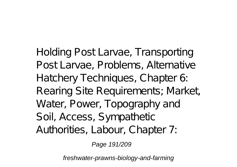Holding Post Larvae, Transporting Post Larvae, Problems, Alternative Hatchery Techniques, Chapter 6: Rearing Site Requirements; Market, Water, Power, Topography and Soil, Access, Sympathetic Authorities, Labour, Chapter 7:

Page 191/209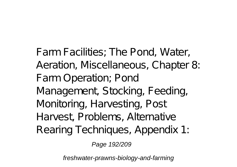Farm Facilities; The Pond, Water, Aeration, Miscellaneous, Chapter 8: Farm Operation; Pond Management, Stocking, Feeding, Monitoring, Harvesting, Post Harvest, Problems, Alternative Rearing Techniques, Appendix 1:

Page 192/209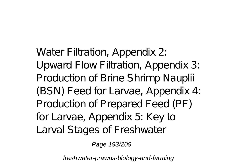Water Filtration, Appendix 2: Upward Flow Filtration, Appendix 3: Production of Brine Shrimp Nauplii (BSN) Feed for Larvae, Appendix 4: Production of Prepared Feed (PF) for Larvae, Appendix 5: Key to Larval Stages of Freshwater

Page 193/209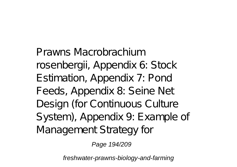Prawns Macrobrachium rosenbergii, Appendix 6: Stock Estimation, Appendix 7: Pond Feeds, Appendix 8: Seine Net Design (for Continuous Culture System), Appendix 9: Example of Management Strategy for

Page 194/209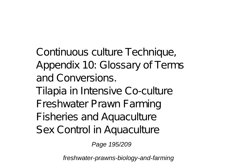Continuous culture Technique, Appendix 10: Glossary of Terms and Conversions.

Tilapia in Intensive Co-culture Freshwater Prawn Farming Fisheries and Aquaculture

Sex Control in Aquaculture

Page 195/209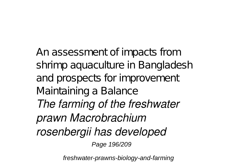An assessment of impacts from shrimp aquaculture in Bangladesh and prospects for improvement Maintaining a Balance *The farming of the freshwater prawn Macrobrachium rosenbergii has developed* Page 196/209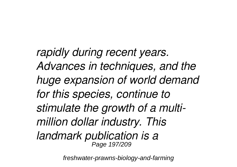*rapidly during recent years. Advances in techniques, and the huge expansion of world demand for this species, continue to stimulate the growth of a multimillion dollar industry. This landmark publication is a* Page 197/209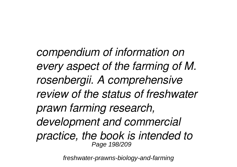*compendium of information on every aspect of the farming of M. rosenbergii. A comprehensive review of the status of freshwater prawn farming research, development and commercial practice, the book is intended to* Page 198/209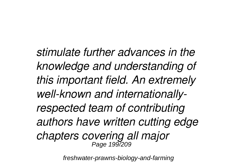*stimulate further advances in the knowledge and understanding of this important field. An extremely well-known and internationallyrespected team of contributing authors have written cutting edge chapters covering all major* Page 199/209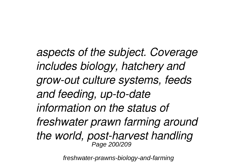*aspects of the subject. Coverage includes biology, hatchery and grow-out culture systems, feeds and feeding, up-to-date information on the status of freshwater prawn farming around the world, post-harvest handling* Page 200/209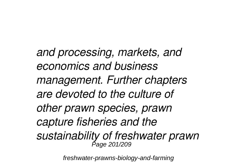*and processing, markets, and economics and business management. Further chapters are devoted to the culture of other prawn species, prawn capture fisheries and the sustainability of freshwater prawn* Page 201/209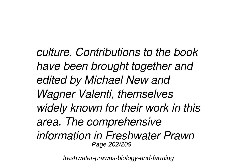*culture. Contributions to the book have been brought together and edited by Michael New and Wagner Valenti, themselves widely known for their work in this area. The comprehensive information in Freshwater Prawn* Page 202/209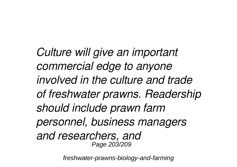*Culture will give an important commercial edge to anyone involved in the culture and trade of freshwater prawns. Readership should include prawn farm personnel, business managers and researchers, and* Page 203/209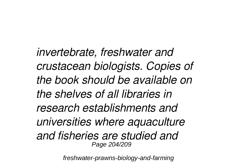*invertebrate, freshwater and crustacean biologists. Copies of the book should be available on the shelves of all libraries in research establishments and universities where aquaculture and fisheries are studied and* Page 204/209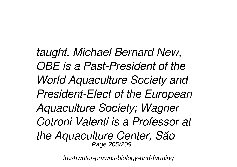*taught. Michael Bernard New, OBE is a Past-President of the World Aquaculture Society and President-Elect of the European Aquaculture Society; Wagner Cotroni Valenti is a Professor at the Aquaculture Center, São* Page 205/209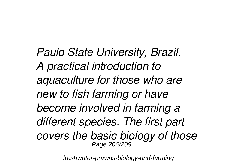*Paulo State University, Brazil. A practical introduction to aquaculture for those who are new to fish farming or have become involved in farming a different species. The first part covers the basic biology of those* Page 206/209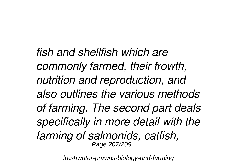*fish and shellfish which are commonly farmed, their frowth, nutrition and reproduction, and also outlines the various methods of farming. The second part deals specifically in more detail with the farming of salmonids, catfish,* Page 207/209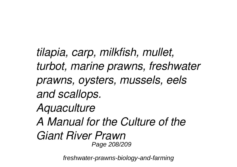*tilapia, carp, milkfish, mullet, turbot, marine prawns, freshwater prawns, oysters, mussels, eels and scallops. Aquaculture A Manual for the Culture of the Giant River Prawn* Page 208/209